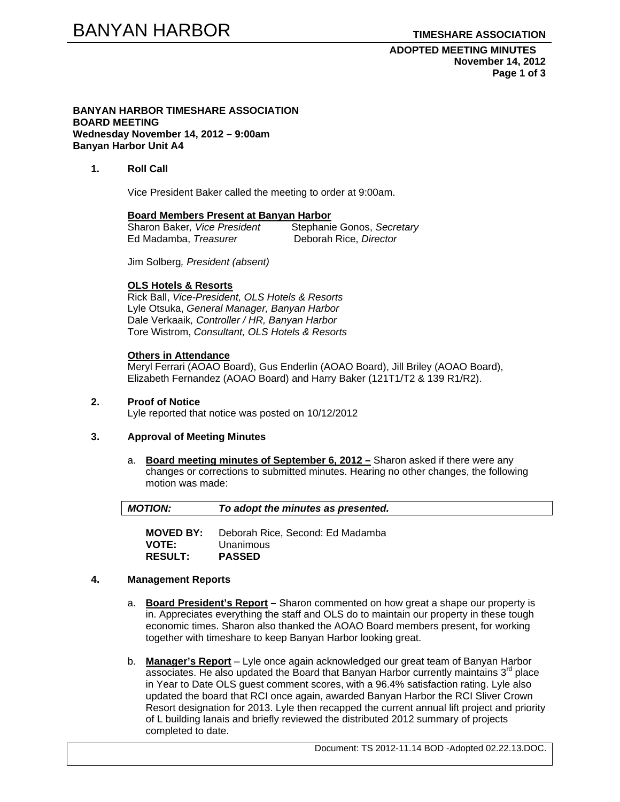**ADOPTED MEETING MINUTES November 14, 2012 Page 1 of 3** 

#### **BANYAN HARBOR TIMESHARE ASSOCIATION BOARD MEETING Wednesday November 14, 2012 – 9:00am Banyan Harbor Unit A4**

# **1. Roll Call**

Vice President Baker called the meeting to order at 9:00am.

#### **Board Members Present at Banyan Harbor**

| Sharon Baker, Vice President | Stephanie Gonos, Secretary |
|------------------------------|----------------------------|
| Ed Madamba, Treasurer        | Deborah Rice, Director     |

Jim Solberg*, President (absent)* 

### **OLS Hotels & Resorts**

Rick Ball, *Vice-President, OLS Hotels & Resorts* Lyle Otsuka, *General Manager, Banyan Harbor*  Dale Verkaaik*, Controller / HR, Banyan Harbor*  Tore Wistrom, *Consultant, OLS Hotels & Resorts* 

### **Others in Attendance**

Meryl Ferrari (AOAO Board), Gus Enderlin (AOAO Board), Jill Briley (AOAO Board), Elizabeth Fernandez (AOAO Board) and Harry Baker (121T1/T2 & 139 R1/R2).

# **2. Proof of Notice**

Lyle reported that notice was posted on 10/12/2012

# **3. Approval of Meeting Minutes**

a. **Board meeting minutes of September 6, 2012 –** Sharon asked if there were any changes or corrections to submitted minutes. Hearing no other changes, the following motion was made:

| $\vert$ MOTION: | To adopt the minutes as presented. |  |
|-----------------|------------------------------------|--|
|-----------------|------------------------------------|--|

**MOVED BY:** Deborah Rice, Second: Ed Madamba **VOTE:** Unanimous **RESULT: PASSED** 

### **4. Management Reports**

- a. **Board President's Report** Sharon commented on how great a shape our property is in. Appreciates everything the staff and OLS do to maintain our property in these tough economic times. Sharon also thanked the AOAO Board members present, for working together with timeshare to keep Banyan Harbor looking great.
- b. **Manager's Report** Lyle once again acknowledged our great team of Banyan Harbor associates. He also updated the Board that Banyan Harbor currently maintains  $3<sup>rd</sup>$  place in Year to Date OLS guest comment scores, with a 96.4% satisfaction rating. Lyle also updated the board that RCI once again, awarded Banyan Harbor the RCI Sliver Crown Resort designation for 2013. Lyle then recapped the current annual lift project and priority of L building lanais and briefly reviewed the distributed 2012 summary of projects completed to date.

Document: TS 2012-11.14 BOD -Adopted 02.22.13.DOC.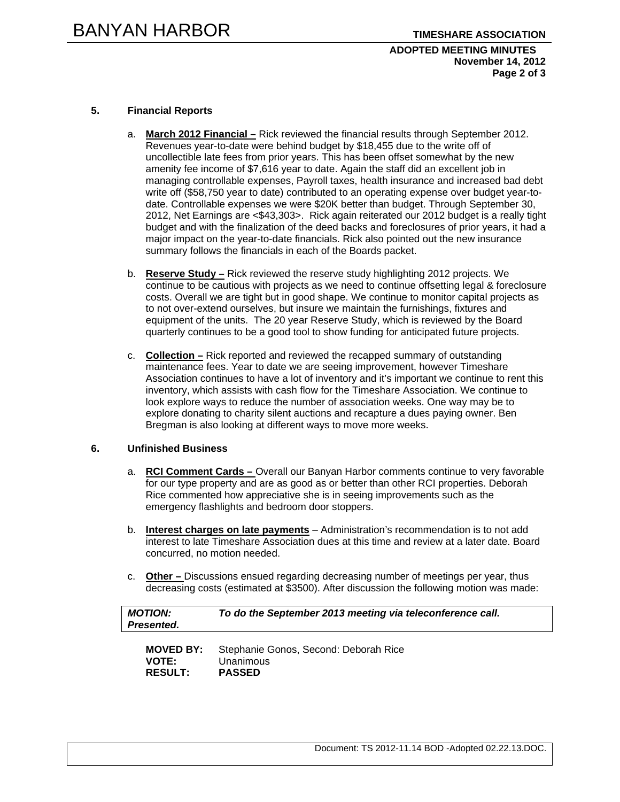# **ADOPTED MEETING MINUTES November 14, 2012 Page 2 of 3**

# **5. Financial Reports**

- a. **March 2012 Financial –** Rick reviewed the financial results through September 2012. Revenues year-to-date were behind budget by \$18,455 due to the write off of uncollectible late fees from prior years. This has been offset somewhat by the new amenity fee income of \$7,616 year to date. Again the staff did an excellent job in managing controllable expenses, Payroll taxes, health insurance and increased bad debt write off (\$58,750 year to date) contributed to an operating expense over budget year-todate. Controllable expenses we were \$20K better than budget. Through September 30, 2012, Net Earnings are <\$43,303>. Rick again reiterated our 2012 budget is a really tight budget and with the finalization of the deed backs and foreclosures of prior years, it had a major impact on the year-to-date financials. Rick also pointed out the new insurance summary follows the financials in each of the Boards packet.
- b. **Reserve Study –** Rick reviewed the reserve study highlighting 2012 projects. We continue to be cautious with projects as we need to continue offsetting legal & foreclosure costs. Overall we are tight but in good shape. We continue to monitor capital projects as to not over-extend ourselves, but insure we maintain the furnishings, fixtures and equipment of the units. The 20 year Reserve Study, which is reviewed by the Board quarterly continues to be a good tool to show funding for anticipated future projects.
- c. **Collection –** Rick reported and reviewed the recapped summary of outstanding maintenance fees. Year to date we are seeing improvement, however Timeshare Association continues to have a lot of inventory and it's important we continue to rent this inventory, which assists with cash flow for the Timeshare Association. We continue to look explore ways to reduce the number of association weeks. One way may be to explore donating to charity silent auctions and recapture a dues paying owner. Ben Bregman is also looking at different ways to move more weeks.

# **6. Unfinished Business**

- a. **RCI Comment Cards** Overall our Banyan Harbor comments continue to very favorable for our type property and are as good as or better than other RCI properties. Deborah Rice commented how appreciative she is in seeing improvements such as the emergency flashlights and bedroom door stoppers.
- b. **Interest charges on late payments** Administration's recommendation is to not add interest to late Timeshare Association dues at this time and review at a later date. Board concurred, no motion needed.
- c. **Other** Discussions ensued regarding decreasing number of meetings per year, thus decreasing costs (estimated at \$3500). After discussion the following motion was made:

| <b>MOTION:</b><br>Presented. | To do the September 2013 meeting via teleconference call. |
|------------------------------|-----------------------------------------------------------|
| <b>MOVED BY:</b>             | Stephanie Gonos, Second: Deborah Rice                     |
| <b>VOTE:</b>                 | Unanimous                                                 |
| <b>RESULT:</b>               | <b>PASSED</b>                                             |